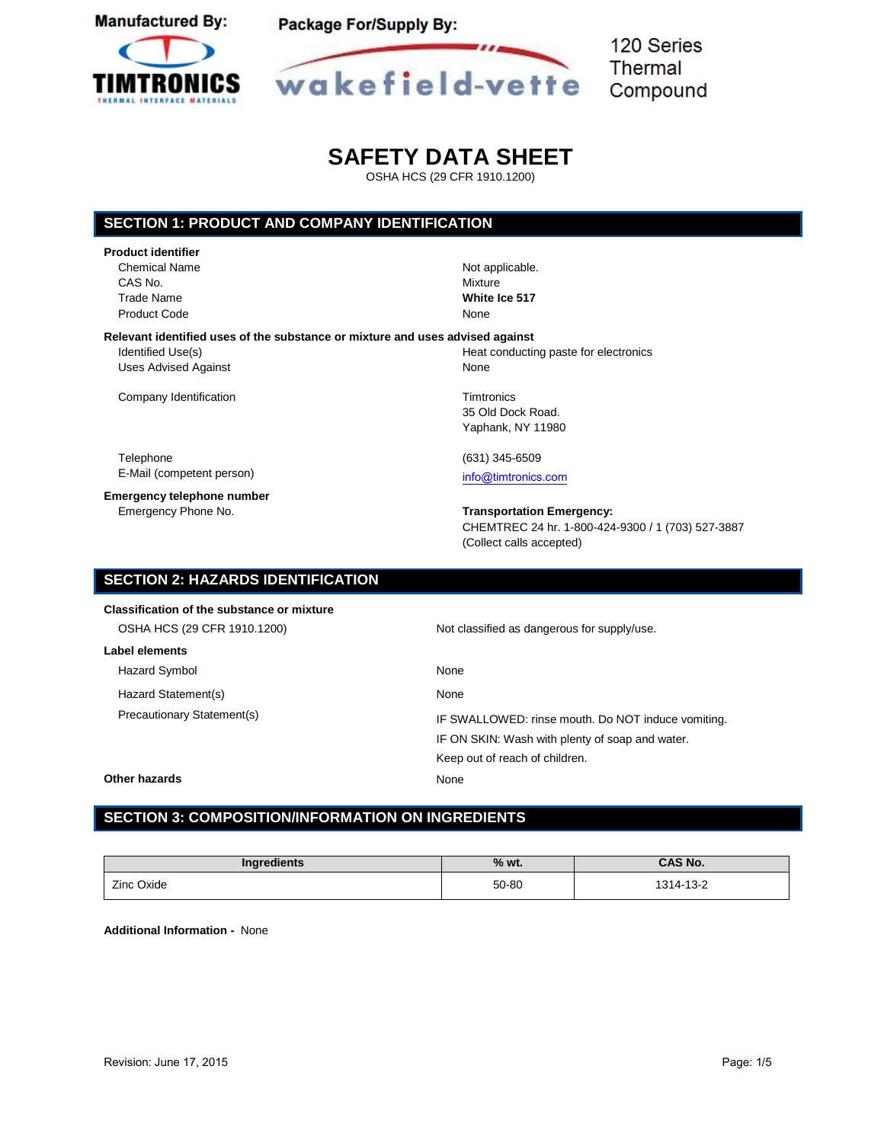



120 Series **Thermal** Compound

# **SAFETY DATA SHEET**

OSHA HCS (29 CFR 1910.1200)

# **SECTION 1: PRODUCT AND COMPANY IDENTIFICATION**

| <b>Product identifier</b>                                                     |                 |
|-------------------------------------------------------------------------------|-----------------|
| <b>Chemical Name</b>                                                          | Not applicable. |
| CAS No.                                                                       | Mixture         |
| Trade Name                                                                    | White Ice 517   |
| <b>Product Code</b>                                                           | None            |
| Relevant identified uses of the substance or mixture and uses advised against |                 |
| Identified Use(s)                                                             | Heat conducting |
| <b>Uses Advised Against</b>                                                   | None            |

Company Identification **Times** Company Identification

Telephone (631) 345-6509 E-Mail (competent person) [info@timtronics.com](mailto:info@timtronics.com)

**Emergency telephone number**<br>Emergency Phone No.

g paste for electronics

35 Old Dock Road. Yaphank, NY 11980

#### **Transportation Emergency:**

CHEMTREC 24 hr. 1-800-424-9300 / 1 (703) 527-3887 (Collect calls accepted)

| <b>SECTION 2: HAZARDS IDENTIFICATION</b>   |                                                    |
|--------------------------------------------|----------------------------------------------------|
| Classification of the substance or mixture |                                                    |
| OSHA HCS (29 CFR 1910.1200)                | Not classified as dangerous for supply/use.        |
| Label elements                             |                                                    |
| Hazard Symbol                              | None                                               |
| Hazard Statement(s)                        | None                                               |
| Precautionary Statement(s)                 | IF SWALLOWED: rinse mouth. Do NOT induce vomiting. |
|                                            | IF ON SKIN: Wash with plenty of soap and water.    |
|                                            | Keep out of reach of children.                     |
| Other hazards                              | None                                               |

# **SECTION 3: COMPOSITION/INFORMATION ON INGREDIENTS**

| Ingredients | $%$ wt. | <b>CAS No.</b> |
|-------------|---------|----------------|
| Zinc Oxide  | 50-80   | 1314-13-2      |

**Additional Information -** None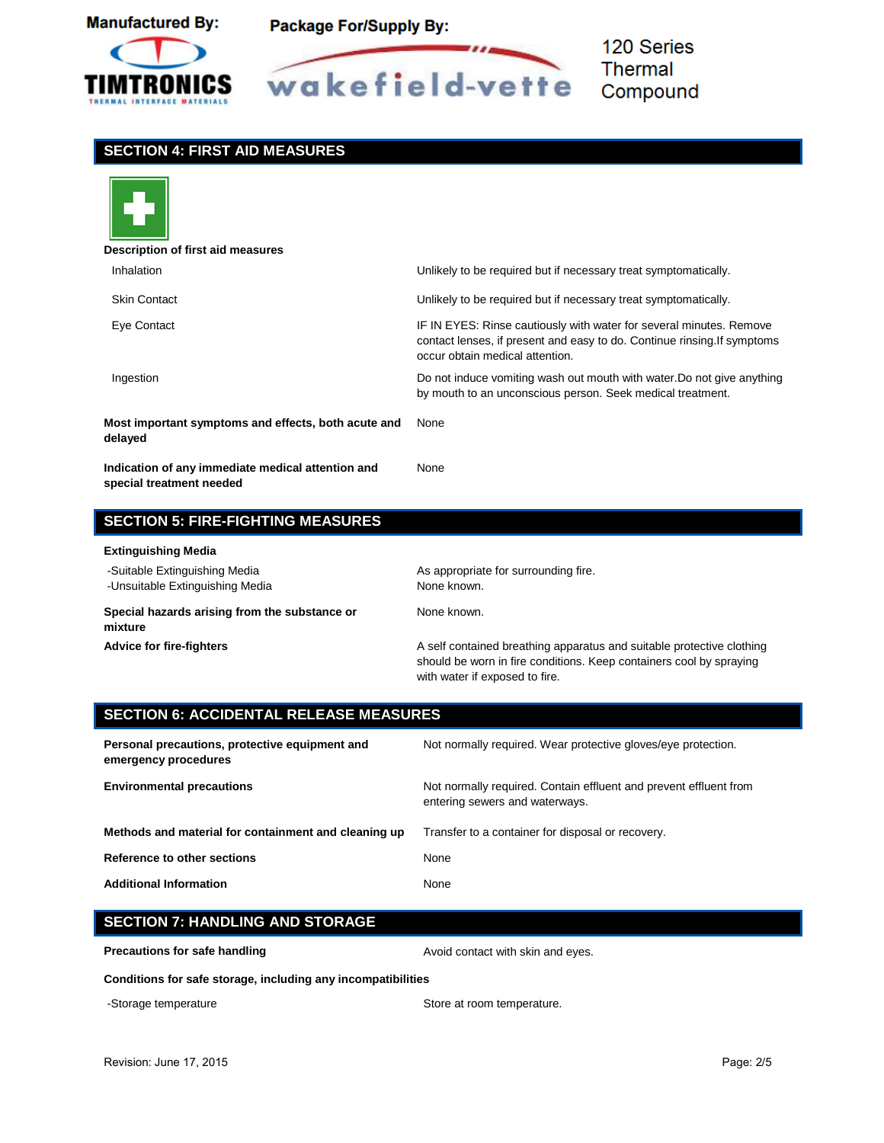



120 Series **Thermal** Compound

### **SECTION 4: FIRST AID MEASURES**



# **Description of first aid measures** Inhalation Unlikely to be required but if necessary treat symptomatically. Skin Contact Unlikely to be required but if necessary treat symptomatically. Eye Contact IF IN EYES: Rinse cautiously with water for several minutes. Remove contact lenses, if present and easy to do. Continue rinsing.If symptoms occur obtain medical attention. Ingestion Do not induce vomiting wash out mouth with water.Do not give anything by mouth to an unconscious person. Seek medical treatment. **Most important symptoms and effects, both acute and delayed** None **Indication of any immediate medical attention and special treatment needed** None

## **SECTION 5: FIRE-FIGHTING MEASURES**

#### **Extinguishing Media**

| $-$                                                              |                                                                                                                                                                                |
|------------------------------------------------------------------|--------------------------------------------------------------------------------------------------------------------------------------------------------------------------------|
| -Suitable Extinguishing Media<br>-Unsuitable Extinguishing Media | As appropriate for surrounding fire.<br>None known.                                                                                                                            |
| Special hazards arising from the substance or<br>mixture         | None known.                                                                                                                                                                    |
| <b>Advice for fire-fighters</b>                                  | A self contained breathing apparatus and suitable protective clothing<br>should be worn in fire conditions. Keep containers cool by spraying<br>with water if exposed to fire. |

# **SECTION 6: ACCIDENTAL RELEASE MEASURES**

| Personal precautions, protective equipment and<br>emergency procedures | Not normally required. Wear protective gloves/eye protection.                                       |
|------------------------------------------------------------------------|-----------------------------------------------------------------------------------------------------|
| <b>Environmental precautions</b>                                       | Not normally required. Contain effluent and prevent effluent from<br>entering sewers and waterways. |
| Methods and material for containment and cleaning up                   | Transfer to a container for disposal or recovery.                                                   |
| Reference to other sections                                            | None                                                                                                |
| <b>Additional Information</b>                                          | None                                                                                                |

## **SECTION 7: HANDLING AND STORAGE**

**Precautions for safe handling and arror of the State Avoid contact with skin and eyes.** 

**Conditions for safe storage, including any incompatibilities**

-Storage temperature extending the Store at room temperature.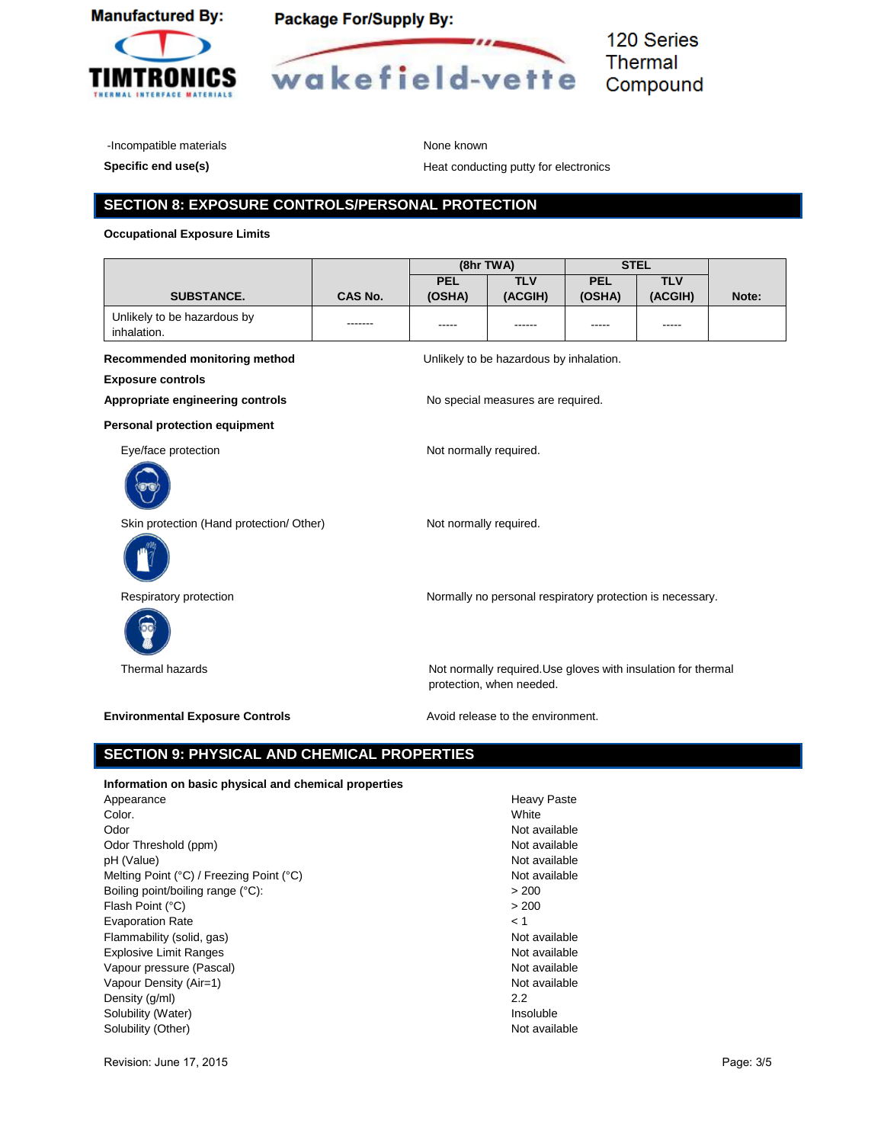



-Incompatible materials and the material of the materials of the Mone known

**Specific end use(s) Specific end use(s) Heat conducting putty for electronics** 

### **SECTION 8: EXPOSURE CONTROLS/PERSONAL PROTECTION**

#### **Occupational Exposure Limits**

|                                                       |         |                        | (8hr TWA)                                                                                 |            | <b>STEL</b> |       |
|-------------------------------------------------------|---------|------------------------|-------------------------------------------------------------------------------------------|------------|-------------|-------|
|                                                       |         | <b>PEL</b>             | <b>TLV</b>                                                                                | <b>PEL</b> | <b>TLV</b>  |       |
| SUBSTANCE.                                            | CAS No. | (OSHA)                 | (ACGIH)                                                                                   | (OSHA)     | (ACGIH)     | Note: |
| Unlikely to be hazardous by                           | ------- |                        |                                                                                           | -----      |             |       |
| inhalation.                                           |         |                        |                                                                                           |            |             |       |
| Recommended monitoring method                         |         |                        | Unlikely to be hazardous by inhalation.                                                   |            |             |       |
| <b>Exposure controls</b>                              |         |                        |                                                                                           |            |             |       |
| Appropriate engineering controls                      |         |                        | No special measures are required.                                                         |            |             |       |
| <b>Personal protection equipment</b>                  |         |                        |                                                                                           |            |             |       |
| Eye/face protection                                   |         | Not normally required. |                                                                                           |            |             |       |
|                                                       |         |                        |                                                                                           |            |             |       |
| Skin protection (Hand protection/ Other)              |         | Not normally required. |                                                                                           |            |             |       |
|                                                       |         |                        |                                                                                           |            |             |       |
| Respiratory protection                                |         |                        | Normally no personal respiratory protection is necessary.                                 |            |             |       |
|                                                       |         |                        |                                                                                           |            |             |       |
| Thermal hazards                                       |         |                        | Not normally required. Use gloves with insulation for thermal<br>protection, when needed. |            |             |       |
| <b>Environmental Exposure Controls</b>                |         |                        | Avoid release to the environment.                                                         |            |             |       |
| <b>SECTION 9: PHYSICAL AND CHEMICAL PROPERTIES</b>    |         |                        |                                                                                           |            |             |       |
| Information on basic physical and chemical properties |         |                        |                                                                                           |            |             |       |
| Appearance                                            |         |                        | <b>Heavy Paste</b>                                                                        |            |             |       |
| Color.                                                |         |                        | White                                                                                     |            |             |       |
| Odor                                                  |         |                        | Not available                                                                             |            |             |       |
| Odor Threshold (ppm)                                  |         |                        | Not available                                                                             |            |             |       |
| pH (Value)                                            |         |                        | Not available                                                                             |            |             |       |
| Melting Point (°C) / Freezing Point (°C)              |         |                        | Not available                                                                             |            |             |       |
| Boiling point/boiling range (°C):                     |         |                        | > 200                                                                                     |            |             |       |
| Flash Point (°C)                                      |         |                        | > 200                                                                                     |            |             |       |
| <b>Evaporation Rate</b>                               |         |                        | < 1                                                                                       |            |             |       |
| Flammability (solid, gas)                             |         |                        | Not available                                                                             |            |             |       |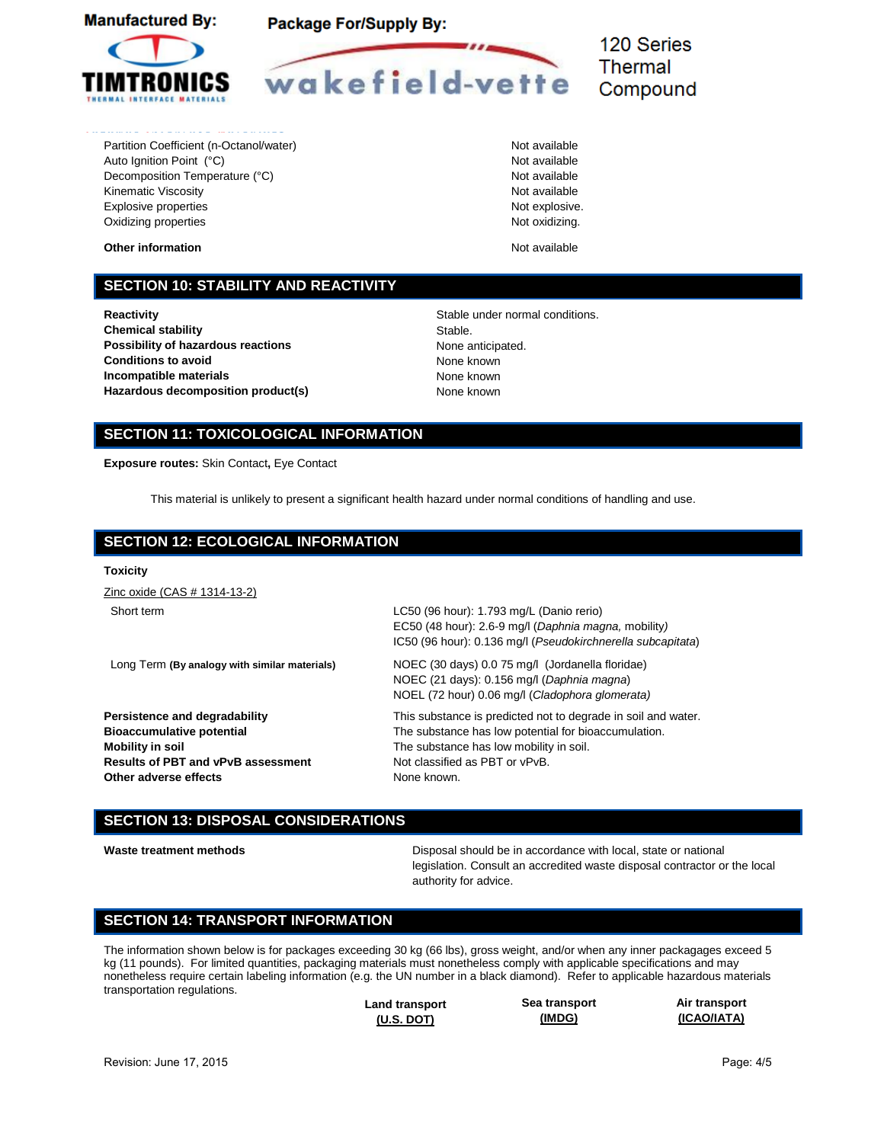



120 Series **Thermal** Compound

Partition Coefficient (n-Octanol/water) Not available Auto Ignition Point (°C) and a set of a set of a set of a set of a set of a set of a set of a set of a set of a Decomposition Temperature (°C) Not available Not available Kinematic Viscosity **Not available** Not available Explosive properties and the set of the set of the set of the set of the set of the set of the set of the set of the set of the set of the set of the set of the set of the set of the set of the set of the set of the set of Oxidizing properties

**Other information Other information Not available** 

### **SECTION 10: STABILITY AND REACTIVITY**

**Reactivity Reactivity Reactivity Stable under normal conditions. Chemical stability** Stable. **Possibility of hazardous reactions** None anticipated. **Conditions to avoid None known Incompatible materials** None known **Hazardous decomposition product(s)** None known

# **SECTION 11: TOXICOLOGICAL INFORMATION**

**Exposure routes:** Skin Contact**,** Eye Contact

This material is unlikely to present a significant health hazard under normal conditions of handling and use.

### **SECTION 12: ECOLOGICAL INFORMATION**

# **Toxicity**

Zinc oxide (CAS # 1314-13-2)

Long Term **(By analogy with similar materials)** NOEC (30 days) 0.0 75 mg/l (Jordanella floridae)

**Mobility in soil Mobility in soil.** The substance has low mobility in soil. **Results of PBT and vPvB assessment** Not classified as PBT or vPvB. **Other adverse effects** None known.

Short term LC50 (96 hour): 1.793 mg/L (Danio rerio) EC50 (48 hour): 2.6-9 mg/l (*Daphnia magna,* mobility*)*  IC50 (96 hour): 0.136 mg/l (*Pseudokirchnerella subcapitata*)

> NOEC (21 days): 0.156 mg/l (*Daphnia magna*) NOEL (72 hour) 0.06 mg/l (*Cladophora glomerata)*

**Persistence and degradability** This substance is predicted not to degrade in soil and water. **Bioaccumulative potential The substance has low potential for bioaccumulation.** 

### **SECTION 13: DISPOSAL CONSIDERATIONS**

Waste treatment methods **Disposal should be in accordance with local**, state or national legislation. Consult an accredited waste disposal contractor or the local authority for advice.

### **SECTION 14: TRANSPORT INFORMATION**

The information shown below is for packages exceeding 30 kg (66 lbs), gross weight, and/or when any inner packagages exceed 5 kg (11 pounds). For limited quantities, packaging materials must nonetheless comply with applicable specifications and may nonetheless require certain labeling information (e.g. the UN number in a black diamond). Refer to applicable hazardous materials transportation regulations.

| <b>Land transport</b> |  |
|-----------------------|--|
| $(U.S.$ DOT)          |  |

**Sea transport (IMDG)**

**Air transport (ICAO/IATA)**